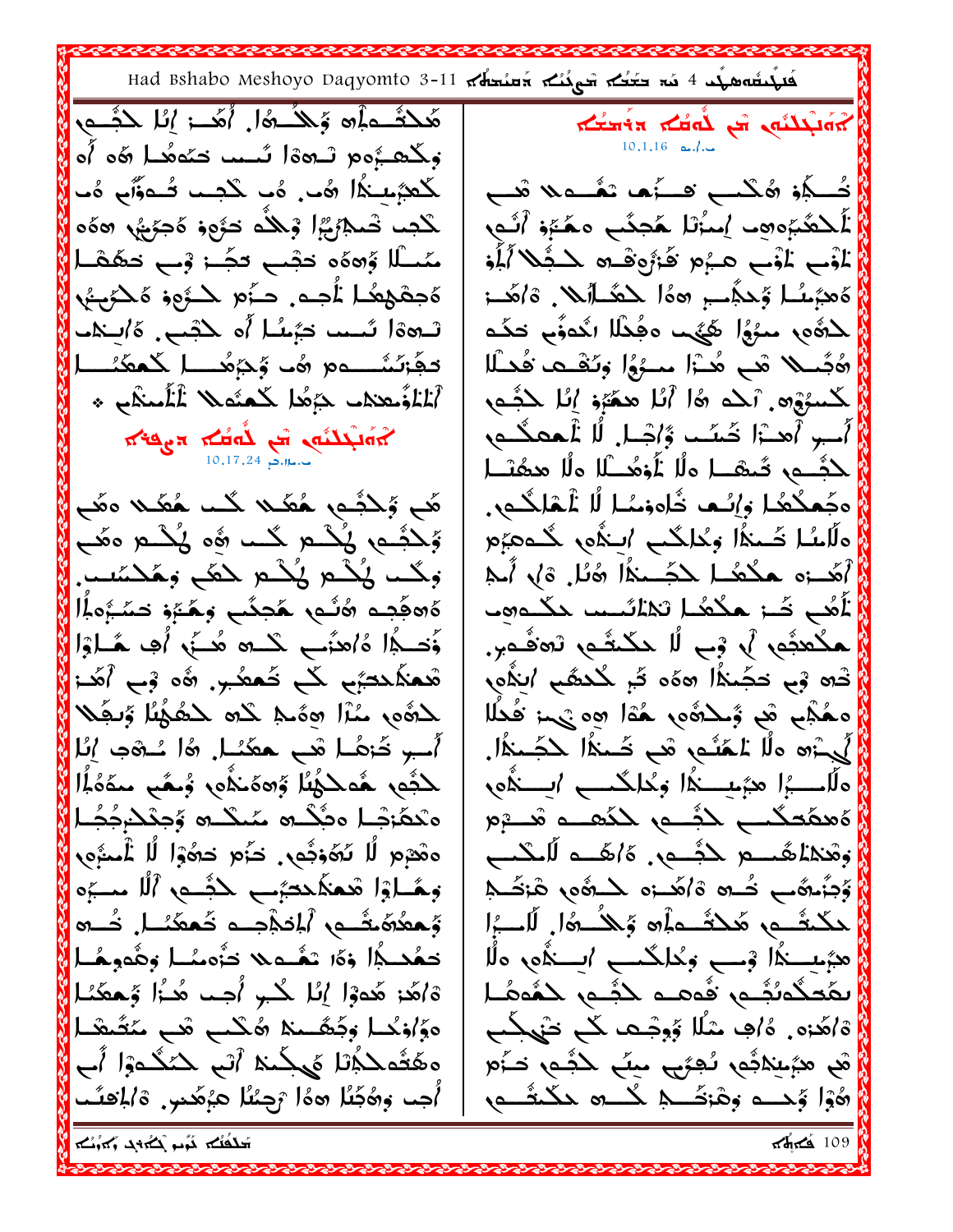Had Bshabo Meshoyo Daqyomto 3-11 x تستعلم المحمومة بتنفس 4 متر به مقدمة بالمحمومة مَكْتُـــه أَنْ وَجْلُــــرَهُ أَن أَهَــــز إِنَّا كَثَّـــمٍ ۖ بلختاءُ بلفظ به وشككِ مقامة وِكْھِيُوم نَـوەۋا ئىـىى حَمّوهُـا ھَو أَو كَعبَّىبِندًا هُب هُب كَجِب تُبْوَّلَ هُب تُصطُف هُكْمَى قَسَيْمَا تَقْسَمَهَا قَتَى لْمَكْتَبَوِهِ إِسْتَرْلَا هُجِئَبِ وَهَبَرَةٍ أَنَّفِي لْكُتِب شَمْأَرُيُّ أَوْ لِلَهُ تَتَوُّوهُ هُجَرَّيْهِ 50% مَنْسَلًا وُهَهُه حَجْبٍ حَجَّـۃ وْبِ حَهُمْـأ لْمُوْبِ لْمُؤْبِ هِبُرْمٍ كَنْزُوْقَـْهِ كَــِّكِلا أَبْلُوْ ەَهْبَسُا وَحَدَّسِہِ 10\$ كَعَمَّالَٰہٗ ، 20 كَمَّ هُجِمْهِمُا ۖ أُجِدٍ. حـزَمِ كَـرُوءِ مَكْرَبِيُ ۖ كَثُمَهِ سَوُوُا هَيُّب مِفْطًا انْدَوّْب حَكَم تجَزَنُسُـــومِ هُــ وَجَرَهُــــا كَـعجَنَـــا الْمُجَسِلًا قَتِي هُــْزَا مِنْهُوا وَتَقْــِعَبْ قُحَــُلَّا أَمْلَأُومَعَكَ جَرْهُا كَمْتُمَكَّ لْمُنْشَرِينَ وَالْمَسَلَمَ كُسِرُوْنَ, آلَهُ هُا أَمُلَ هُمَّزَةٍ إِمَّا لَكَشِّمِ أُسِبِ أَهِيًّا ثَمِنَت وَّاجْلٍ لَّا غُمِعَكُم Agailling and a called a gain لْحَفَّــمِ قَنْصْــا ولَا نُأْوْهُـــْلَا ولَا مَمْهْنَــا ءجَمحُكمًا وَإِنُـم خُاهوَمُـا لَا غُمَاكُــه. ھُے وَلٰہُے ہُھٗلا لگت ہُھٗلا ہھٗے تَجْدَعُبِ رَبُّكُمْ كُنتَ شَيْءٍ رَبُّكُمْ وَهُبّ أوألئا ضَنأا وكلكب ابنأور كُـومَ:م وَكَسَا يُكْتَعَ يُكْتَعَ لَحْقَحٍ وَهَكْسَسَ. أَهَــزه هكْعُــا حْجَــىدَاْ هُنْا. وْلِي أَمْهِ لْمُعَى ضَـٰٓ; حَكْمُـٰا لَـٰالنَّـــت حَكْــٰءِهِت كَاهِجُتِ هُنَّفٍ هُجِئَبٍ وَهُنَزُوْ حَسَٰٓءَكُمُ ٱ ذَكِيرًا هُاهِنَبِ كُلِّهِ هُــزَى أَهِ هَــأَوْا ِ هَكُعثُمَ ﴾ ﴿ وَبِ لَا حَكَّمَتُمِ ۚ لَهُ قَمْبِ تَعْمَلُهُ حَيَّى ۖ حَمْدُ ۖ وَ ۚ وَ ۖ أَهَدَ خُوه فِي حَجَّىٰكُمُ (وَهُو ثُمِّ كُلْحَقِّي أَيْتُمُوم لِحَدُّهِ مِنْذَا وَدَّىٰ لَمْ حَدَثَهُمْ أَوْلَٰكُمْ لَمَنْهُمْ الْمُؤْمَنَ الْمَعْ مِنْ وَمِنَ أَعْمُدُ مِنْ مُحَمَّدٌ مِنْ مِجْمُدِهِ أُسِيرِ خَرْهُما هُم حَمَّنُما. هُا سُــْهُبَ إِنَّا أَيُّنَّهُ عَلَّا الْمَنَّعِ هُوَ مِنْهَٰ الْأَمَّةِ وَالْمَسْتَمَّالِ الْمُهْمِ هُمَكُمُلًا وَّ2مَنفُعِ وُحَصَّعٍ مِمَكَنَّةٍ ا ولَلْمِسْبَرَا مِبْمِسْنِدًا وِكُلِكْمِسْمِ ٱلسِّنَدُورِ ەتىمَزچَـا ەجْݣــە مَىكــە ۆجڭـدېجُــا ةَ مَحَكَمَـــمِ لَكُمَـــمِ مَسْــَمِ وَهَٰذَاهُــــم حَجَّـــمٍ, هَ/هَـــه لَأَسْكَـــح هِ هُدْمٍ لَا تَوَفِّقُو . حَزَم حَدَّقِ لَا غُسَّرُو وَهَاوْا شَعَكَنِيَجِي لِمُشْتَبِعِي ٱلْلَّاسِيَةِ وَّجَنُّمُّهُ ۖ تُـ20 هُ/هُــزه ﴿ هُوَى هُزَكُـــهِ وَمعدُهُ خُــمِ ٱلمَذْهِـــم خَمعَنُـــل خُـــــه حكْتُــمِ مَحْتُــمِلَه وَجْــهُ أَصْــرًا. لَأَســرًا حَفْدَجُلَ وَهَ! تَعْـَمِيهِ حَزَّهِيئَـا وَهُمُوهُـا هِبْمِيــْدًا وْـــِ وِكْلِكْـــِ ابِــْدَّەِ وَلَا بِمُحكْمُبُمْسٍ قُومِيهِ لِحُمْسٍ لِلْغُومُيلِ ةَأَهَٰذٍ هَٰدَوْا إِنَّا لَكَـبٍ أُجِـبٍ هُـٰٓ;ا وَجَعَفُـٰا ة/هُزه. ةُ/ڢ سْلًا وُوِجْها كُلّ طَيْلِكُبْ ەوّافىلا وكَشَــنا شكَــــ قب سَتَــقـا ەھَقُەخۇتا ئىكىغا آتى خىگەۋا آب هُم هزَّىنِهْجُم، نُهِرَّى مِنِّى حَجَّى حَزَّم ھُوۡٓا وَحَـــہِ وَهُوَٰکَـــہِ کَـــہِ حَکَمَتَـــمِہِ أُجب وِهُكِّلًا هِهَٰا ۚ رَجِئْلًا هِبُهُننِ ۚ وَالْمُعَبَّ تشاوُم عرَّوْهُمْ بِهُمْ يَشْتَقْطَةَ  $\frac{109}{200}$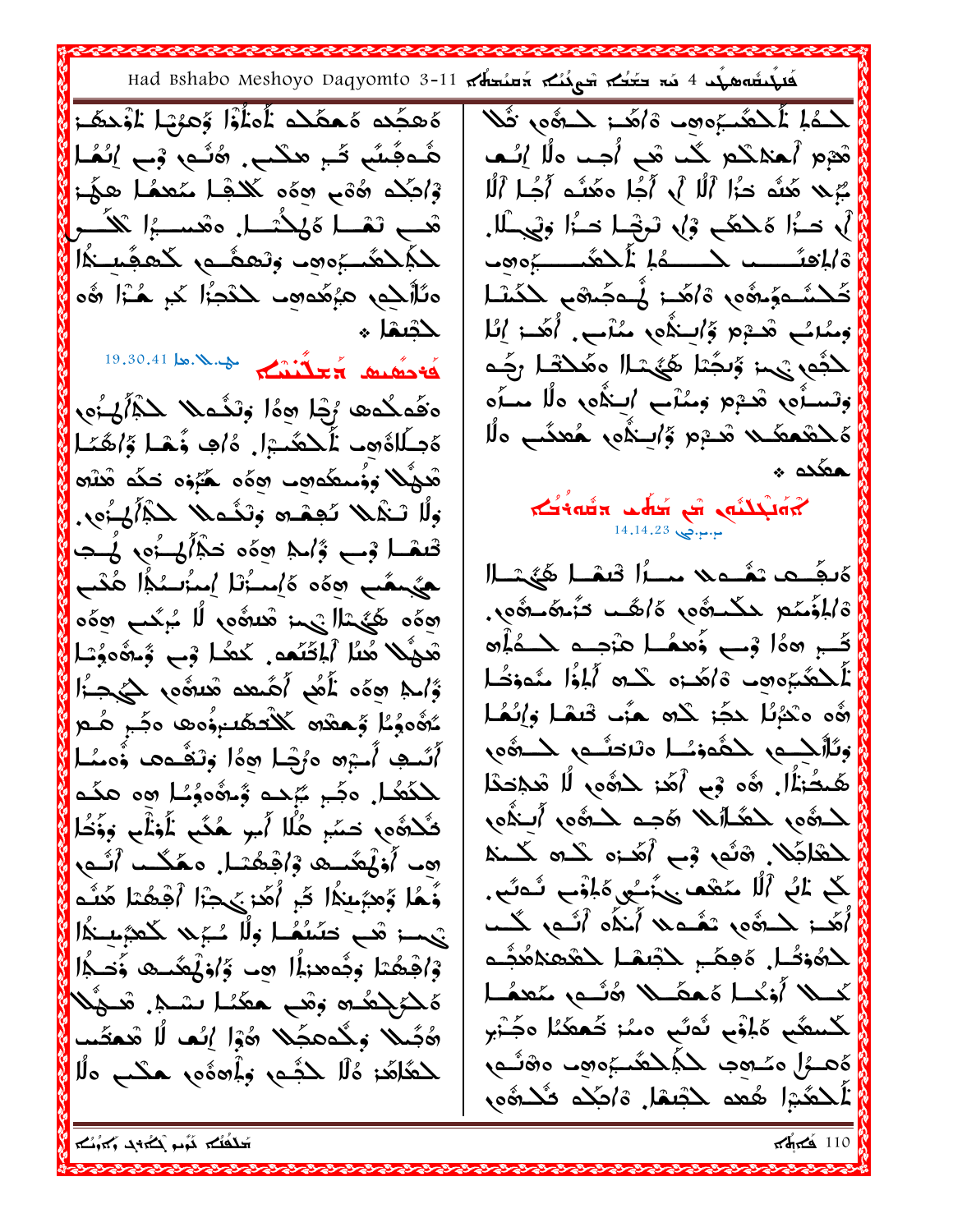Had Bshabo Meshoyo Daqyomto 3-11 x تستعلم المحمد بمن 4 على الله على المحمد بن 4 على الله المحمد بن ا

ەُھجُدە ەُھھُكە نَاهْلُوْا وُھۇبْا ناوْدھُ: هُـومَّسٌ ثَـٰ ۭ مثَـٰلٍ ۖ وُنُـوبٍ ۚ وَٰبِ ۖ إِنُـٰهَـٰا وْاتِكُمْ 7ْ6ْمْ وْ0ْ6ْ كْلَافْسَا مْكْتَعْمَا هِكْيَا: هَـــِ تَمْــا هَلِكُتَــا. هقْســبُّا تَكَــَـر<mark>ِ</mark> لِكَبِكَعْبَ وَمِعْ مِسْمَةٍ لَمَعْ الْمَسْمَلَ وتَأْلَيْهِ هَزْهُدوهِ لِلْكَجُزَا كَبِرِ هُـٰٓزَا وَّهِ حثيمًا \* 19.30.41 ls. X ... Limit x x du dis 20 وَقَعِدُهِ وَجَا هِوَا وَتَشَمِّلاً كَلِّهُمْ أَوْمَ ەَجِىللەُھ غَلاھُيمْ. وُلُبْ وُلَمَا وَاِهْدَا هُدْيُلا وِوُسطُه مِن مِهْمَ حَيَّوْهِ حَكَّهِ هُدُهِ وِلَا تَـٰٓدُلا نُهِمُـه وَتَنُـملا لِكُبُرُكِـزُهِ. تْعَصَّا وْبِ وْٰاٰہِ 20ْھَ دَيْٰاۡاُہِــٰٓءَى لَٰےـَ بِمَقَمَّعٍ وَوَّهِ مَايَسَانِهِ أَسْتَرَامَ مِنْقِيقِهِ ەەم سىنىش للا بوشىغە نىس التىرتى مەم تَعِيثُلا مُئا أَءِكَنَّمَهُ ۚ كَعُدًا فِي وُٓ وُّءُهِ وَٱ وَّالِمْ هِ هَ مَ نَهْدِ أَهَيْهِهِ شَعْبُهُمْ لِمَ جِبُزَا مُؤْمَرُهُمْ وَالْعَمْلَاتِ مُتَّذِهَبَ وَأُوهِ وَأُمِينَ وَأَسْتَرَىٰ الْمُنْصَرِ أَنَّــڢ أَــبْرَه دَرُجًـا هِدًا وَتَقُــٰدَه وُّدَــٰـا لْلَّهُا. وَكُمْ يُرْكُدُ وُّتْرُوْمُوْسًا وَوَ عَكُمْ كَلّْمُومٍ حَسِّرٍ هُلَّا أَمِرٍ هُكُم نُلُوْنُكِ وَوَّخُلَّا ۞ أُوْلِّعُنَدِهِ وْأَهْتُصَارِ هُكُنْتَ أَنَّبِهِ وَّهُا وَهبَّىنِكُل ثَبِ أُهَدٍ يَجِبَٓا أَجْهُتَا هَنَّـه آمُنِي مَعْنَ الْمُؤْمَنَ مِنْ الْمُؤْمَنَ مِنْ الْمُؤْمِنِينَ

وْاٰهِشَا وِجُوهِبْلَ اللَّهِ وَٱوْلُهُكُــِهِ وَّفَــٰهَا

هَكْرُكْتُه وَهْبِ حَقَنُا نُسْبًا. هُـوُلًا

هُجُىلًا وِكُوعِجُلًا هُوْا إِنُفٍ لَا مُعَقِّبٍ

لْحَقَلَقَةِ وُلَا حَجَّمٍ وَلَمِرْوَةٍ حَكَمٍ وَلَا

إِلَّهِ حَـٰٓءًا هَـٰكَـٰهِمْ وَلَىٰ تَـٰٓخَـٰٓا فَـٰٓءًا وَلَيْـِـنَّالًا. ة/إعتَـــــــه كــــــه أمّـكعُـــــــــرّه تُكْسُّمَهُنَّهُمْ وَٱهُدَ فُمَجَّنَّهُمْ كَكَسْلَ وَسُدَسُ شَدْمٍ وَّاسِنَدُّی سُدَبٍ اُهُدَ إِنَّا مِنْ لِكُلُهُمْ الْمَرْهُمْ الْمُهْمَامْ نِسْ رِمَكْكُمْ مِنْ الْمَسْتَامِنَا مِنْ وَتَسَلُّهِ هُدْمٍ وَمُنْكِي الْتِكْلِ هَلَّا مَسَلُّهِ هُكْتُمْعَكُمْ شَـْرَمْ وَاسِـٰكُمْ هُمْكُبِ هَلَّا معكده \* المحافظة مالية مشكلبانهم أَمْكِنُ الْمُسَادِدُ مُسَارًا قَتَمَا هَيْمَا ا ةَالْمُغَطِ حَكْمَةُوبِ ةَاهُمَا تَنْطَقُوبِ. كَبِ هِوَا فِي ذَهِمُا هَوْجِــهِ كَــُهْلُوهِ لْمَحْشَوْهِ وَاهَدْهِ كُلُّهِ أَلْمَوْا مُعْوَيْهَا وَّه وَحْبُرُا حَجَّزَ حَدَّه هَزَٰبَ قَبْهَا وَإِنَّهَا وَتَأْلَمْـــمِ كَثَمَوْسُــا وتَرْحَسُـمِ كَـــوَّى طَّمْتُنَاْلِ ، هُو فِي أَهَدَ حَدَّهُو، لَا شَدِّنْحَدَّا لحدةُه، لحَصَّلَالِه هَجه لحـدةُه، أَبِـٰذُه، لْمَعْلَمُلاً. هُنَّهُ فِي أَهُـزِه كُـهَ كَــنه ِّكِ ۚ عَٰلَىٰ ٱلۡلَّا مَنۡضَ**َىٰ** مَشۡمَا الۡلَهُ ۖ عَٰلَٰهُ ۖ وَلَٰهُ ۖ مِنۡلُمۡ مِنۡلُمۡ مِنۡلُمۡ أهَد: لمسؤه، تمسَّمه أَنذُه أتُسم، لَكَــــ لِمُوْصَلِ وَعِكَبِ لِكَبْسَا لِكَعْمَدْهُمْ لِمَدْمَدَةً وَجَدَّدَ كَمِلًا أَوْكُمَا هُمِّصَلًا شَامٍ مُعْمَلًا لْكُسِعَّى هَٰلِؤَى نُوسًى وَمُنْ خُمِعَنَا وَجُـٰٓبَرِ ەَھۇلەتتەھ كېڭگىئەھە ەھْلەر لْمَحْشَرَا هُعد حَجْسَهْلِ وْاحْكُدْ فْكُنُّوهِ،  $4.10$ 

لْكُمَاءُ أَكْلَاهُكُمْ وَمَنْ وَاهُو بِهُ الْمَرْوَى وَقُلْهُ مِنْ يَرْكُلُونَ

|قَدْمٍ أَحْمَدْكُمْ كُبْ قَدْ أُجِبْ وَلَا إِنَّبِ

ـُبُلا هَنَّه خَزًّا أَلًّا ﴾ أَجُل ههَنَّـه أَجُـل أَلًّا

محنفكم تكومو بكتما بمرافع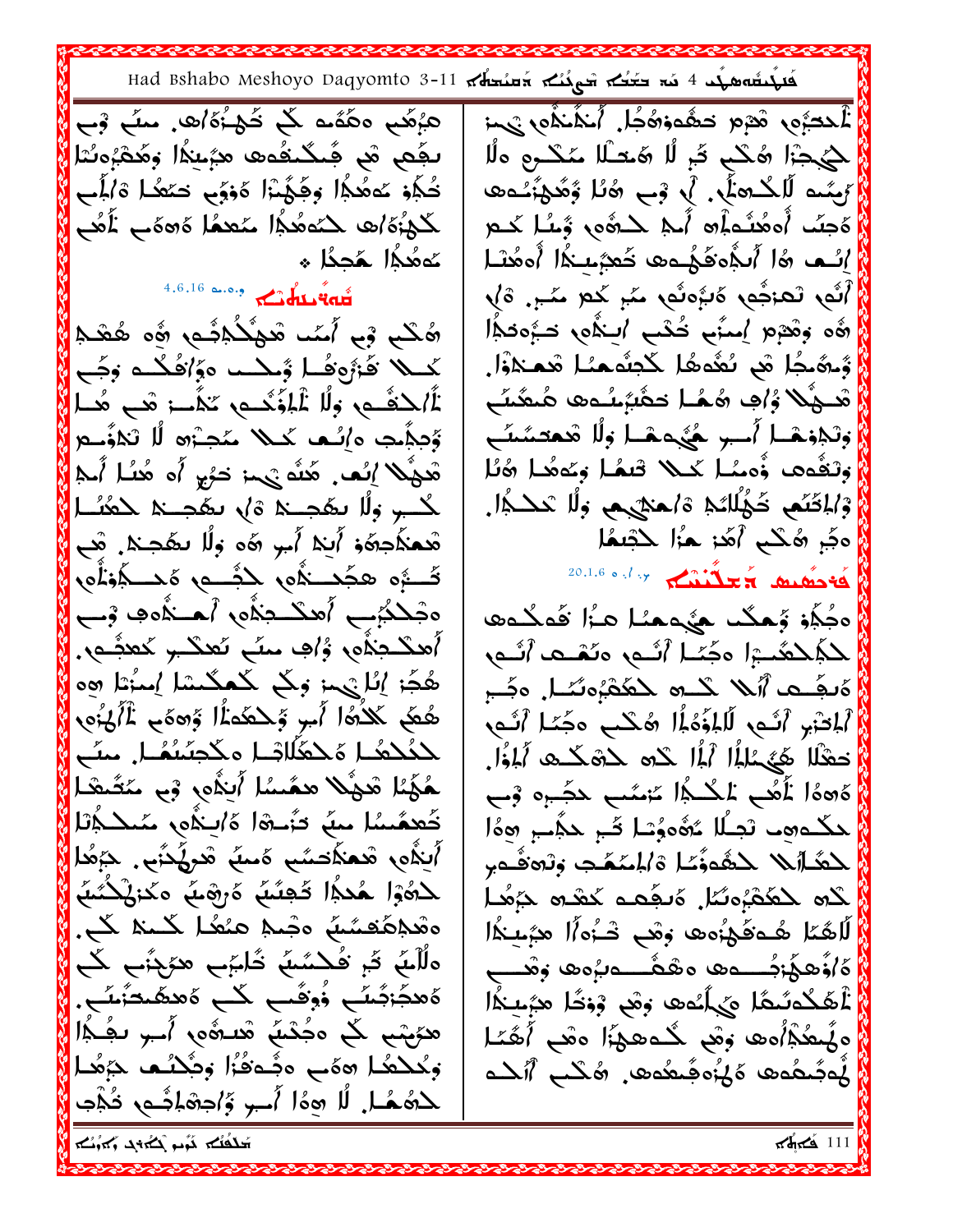Had Bshabo Meshoyo Daqyomto 3-11 x تَسْتَعْلَمُ Had Bshabo Meshoyo Daqyomto 3-11 نْمِنْ مِمْنَكْمَا , أَجْمَعْوَمَ حَقِيمَ مِهْتَمَا لَمَنْ مِنْ مَجْمَعَة هَبُعُمِ هَمُّمُم کُمْ خُمْءُٗهُاهَ. سَبٌّ وَٓب ىجَم مْ جَىكْىغُەھ ھېْيغَا وِهُمْ وَدُا لْكَيْجَرْا شُكْبُ ثُمْ لَا شَعْطًا سَكْنُوهِ هِلَّا تُكِلُوْ عَاهُدِكُمْا وَجُهُنْزَا هُوْوَى حَعَقُدا هُ/لَمِن أَرْبَعُتُ لَا كُلْحَابُ ۚ ﴾ وَبِ الْهُ لَا وُهُوَيُّ نُـُـدَهَا ﴾ ەَجنُد أُوهُنُولُو أَجْر حَدُّومٍ وَّسُل حُــم لْكَهْزَهُ/تَ كَتَمَعُكُمْ الْمُعَمَّا هَامَةً بِ لِمُعْمِ إِنَّــ 16 أَنَّذُهَ وَكَيْــوها خَعيَّمْـنَدًا أُوهُنَـا } عَمْدُا هَدِدُا \*  $^{4.6,16}$  a.o.,  $\sqrt{2}$ du tan رَاهُ لِمَاجُمٍ وَالْمُوَاهُمِ مِنْهِمِ مَمْرٍ مِنْهِمِ وَالْمَ اَهُه وَهُدْمِ إِسْنَى خُمْبِ ابْنُدُو حَبُّودَهِ ا ھُكُم وْمِ ٱمَّى مْوَكُلُفْهِم وَهِ هُمْدُ وُّىھُىجُا ھَى ىُھُەھُا كُجِنُّەھىُـا ھَـعـٰلاوْٓا. كَـــلا فَأَوْوَفُــا وُــكــــ وَوُافُكُــو وَجُــح هَـــوْلًا وُ/َفِ هُـعُــا حَـقَبَرْـنُــدَى هُـتَكَـنَــع أَ/كڤُــمِ وِلًا غْلِفَكْــمِ تَكُـــز مْــح مُــل وَتَجْفِسْا أَسِيرِ هُيُجِمْسَا وَلَا شَعْدَسَّتَ وَّدِيْمِتِ وَإِنَّـمٍ كَنْكُمْ شَجَـرْوَ لَّا تَكْفُتُتُو وَتَقُومَا وُوسُل كَــلا قَبْعُلْ وَعُوهُـلْ وُلَا تَعَهُّلا إِنَّمٍ. هَنَّهُ يَهِمْ تَحْرِيهِ أَه هُنُـل أَسْلِمَ وْالْمَحْتَمِي خَوْلُلْتُمْ وْاْهْتَيْهِم وِلْا تْعَطْــِدُّا. كُبِ وَلَا تَعَجِــٰهَ ۞ بِ تَعَجِــٰهَ كَعُنُــا هِجَرِ هُكُم أَهَٰذِ هُوَٰا كَجْمَعُا هُـعنَاجةَهُ ۚ أَبَـٰهَ أَـبِ هَء وَلًا نَـهُجـَـٰهَ. هَــِ 20.1.6 and retain to the care صَّــْوُه هجُمـــٰذُه حجَـــه هَـمـــكِفْوَاهِ ەتىلىئېب أەنگىيندە (ھىندەپ ۋىب ەمكىفا انى النەمرىش سىگە ۋېڭىدە أَهكَـجَذُّوبِ وُافِ سَبٍّ تَعكَـبِ كَعجُّـوبِ لحكِّلحَقَّبِ الْمَجَّالِ أَنَّـمِ وَنَهْـمَا أَنَّـمِ هِجَا إِنَّا يَهْدَ وَلَّى لَمُعَكَّسَةِ إِسْرَاءُ وَهِ ەَبِكَـبِّ أَأَيْلا كَـــرَّ بِكَلْجَبُونَيْجِلْ وَجُــرِ هُكُمْ لَلْأَمَّا أُسِ وَّكْتَكُمَاْ وَّحْمَدُوا غَالَهُ: وَ ٱلمِاتَنِ ٱلنَّـهِ لَلْمُؤَهَٰلًا هُكْبٍ مَجَّـٰا ٱنَّـهِ لحَفُلهُا مَلْعَفُلَاتِها مِكْجِئْتُهُا. سَبَّ حَمْلًا هَيُمْلِمُ! أَلَمُ! حَده حَدْهَكَــمَّهِ أَلَمْوَاْ. ـمُّهَّـٰمَا شَوْبُلا مَعَّــٰىًا أَيَـٰأُورٍ ۚ وَبِي مَتَّـَشَـٰلَـٰ كَاهِكًا أَهُبِ لَمُكْمُلٍ مُنِمَّى حَجَـٰہِ ۚ وَسِي تُعهَّسُا مِهَ تَزْحُوا هَايِنْهُم سُلْكُلُّا حكَّدهِ نَجِبُلا مُهُوءٍُنَا ثُمَّ حَجَّمٍ هِوَا أَيَّدُّهِ مُعَكَّدَسُّي هَسَيٌّ مُرَيُّدَتَّبِ حَرَّهُا لحَدَّامُلا لحَقُدَّتُه ٱلْمُمَّدِّبُ وَلَوْقُدِ َلْحَمُوْا هُدَاا تُجِنَّبُ هُرَهْبُ مَدَىٰلُكُنَّبُ لك محكمُ وسُل وَيَجْمِد حَقِيم حَرْهُا ەھْكەملىگ مۇسى ھىھار كىنار كى لَاهُمَا هُـوَفَهَٰ;ه فِهْبَ خُـزُه)َا هِبُنِيدًا ەلْلَبُ ثَمِ فُحْسُبُ ثَالِمَ بِ هوَجِنَبِ كُبِ الْكَكْمَنُـمَّا يْ وَمَا وَهْمِ وْوَحَا هِبْمِـنْدَا ەُھجَرْجَْسًى وُوِقَىب كَبِ ەَھھَىتَزَينَى. هجُهْمٍ ﴾ دَجُمْبُ شَدةُهِ أَسِرِ بِمُكُمْ ا ەلَمْعُدْأُوھ وقىي كُـوھودًا وقىي أَھُمّا ومُحْكُم اللهُ عَهْدُوا وَجُحْسُم حَرَهُما لْمَجَّىعُمِ مَالْمُ مَجْمَعُوهِ. ﴿ مَكْبِ ٱلْكُسَاءِ لِحَمُّعُلِ لَا هِمَّا أَسِرٍ وَٱحِمَّائُـمِ فَذِّبَ بحشابهل عراقط بمابنة بعثاه عنا  $\pi$ dir $\leq 111$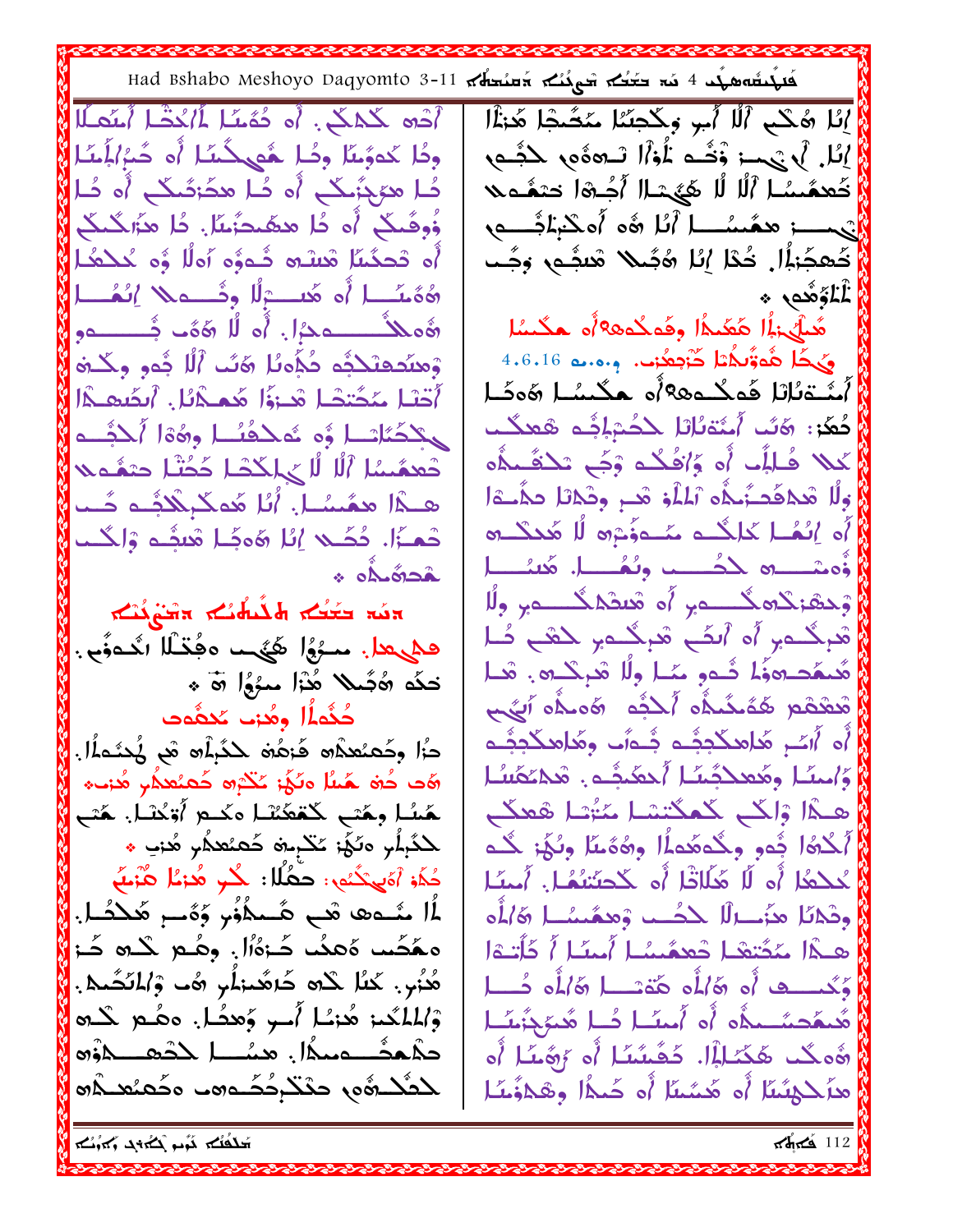Had Bshabo Meshoyo Daqyomto 3-11 x تَسْتَعْلَمُ Had Bshabo Meshoyo Daqyomto 3-11 إِنَّا هُكُم أَلَّا أُمِرٍ وِكُحِنَنَا مَحُمْدًا هَٰذَآا أَدْهِ كَمْكَى. أَهْ دُمَّنَا لَمُ/حُضًا أَسَّمَلَا ودُا كَدَوْمَاْ وَدَٰا هُدِيكْمَا أَن كَبُرُالِمُنَا إِيمَا, } فَي الْمَوْيَ الْمَوْيَ الْمَوْيَ وَالْمَرْكَمِينَ مِنْ الْمَارَ ئا مرَجْنَكَى أَه ئا مضَرْئَىكَى أَه ئَا وُوِهَكُمْ أَهْ دُا هِهُبْدُتُنَا. دُا هِنَّا كُنْكُمْ تَيْ مِنْ الْمُؤْسَسِيلِ أَمَّا هُ٥ أُ٥ كَنْبِنَاجُـــمِي أُه تَحِكْمَا هَنْتُمْ شُوؤُه أَولًا وُه خُلْطُلً |خَھجَۂاْل خُدْل إِنَّا هُجَىلا هُنجُـهِ وَجَــٰد هُهُنَّــا أُه هُنــــْ إِلَٰا وِخُـــه لا إِنْمُـــا أَلْمُؤَهَّدٍ \* مُسْأَيْهِ إِلَى الْمَعْيَدَا وَهُمْ حُدِهَ؟ أَو حَكْسُلًا رُهُ مِمْكُنْ مِسْمَدُلِ. أَو لَا رَهُ مَن فَسِسْمَو يَّكَلَّا هُوتُرِيُّهُمْ كَبْجِعْنِ.. 16.16هـ 4.6.16 وْمِنۡحَدِيۡدَكِنَا مَنُونُا لَهُ لَٰهُ أَلَّا بَنُوۥ وكُنَّهَ أَمْتَعْلَانَا هُمْكُمْ2\$أَهْ هَكْسُلْ 5ْ1ْ0ْمَلْ أَحْتَا مَحَّتَحًا مْجَوَّا هُمْكَانَا. أَنضُعْكَا كُعُد: «كَتُ أَمْتَمَنَّالَا لِكَـٰـْبَاءِيْـَا هُعِيكْـب بِكْحَبَّائِكُمْ وَهُ شَكْحُبًا وَهُوْا أَكْثَبُ لَملا هُالِمُد أَه وَاهُكُم وَجِّي تَكْفُعَلُه حْمِمُسُا ٱللهُ لِلكَحْا حُضْلَ حَمْدِيهِ وَلَا مْحَافَصّْنِـكُاه ٱلْمَلَّوْ شَـرٍ وِضْحَانَا حَكَّـــْـةَا هـْ \$ا همُسُـا. أَبُلْ هُمكْرِيْلَاثُـِـهِ كَـب أَه إنْهُــا كَالْحُــه مُـــهِّنْـْمِ لَا هُدَكَـــهِ تَعِدًا. دُكَــٰهِ إِنَّا هَءَمًا مَعْشَـٰهِ وَالْحَــٰبِ وْهشت ه للصَّحب وتُعُصَــا. هُنتُـــا a digna وْحْشَرْحْدْهِكْــــەبْر أَه مْعْشَمْكُـــــەبر وْلْلْ حتفرونش حناشقاه حنغت مناء هْرِكُــٰءِڔ أَه ٱلضَّے هُرِكُــٰءِرِ لَحْقَــِ صَٰـٰا على هل. معرُوُّا هَيْ مع هُنَّاا آنُدەوَّى. مُحمَّد، وَذَا شُوو مَا ولًا قَرِيكُ، قَا نْكُمْ شُكْلًا مُنْزَا مِنْهُمْ أَنْ \* هَعْكُم هَٰهُ شَدُهُ أَلْحَبُه ۖ وَاللَّهُ وَاللَّهُ وَاللَّهُ كُنُه أُل وهُن، كَحِقُوب ِّ أَه أَاسٌ هُاهكُجِيَّـه جُـهاًب وهُاهكُجِيَّـه دَٰا وحُمنُعدَاه هَ;هُهْ حَدَّبِلُه هُم يُحتَملُّا. وَّاسِبًا وهُعِلاَجُسًا أَحْمَدُو وَهُلَاعَلا ھَت دُنَّ هُنا مَنَّهُ: عُكْرُه كَعَنْعَدَّابِ هُـُـْتَــهِ اهلاًا وَالْكُلِّ لَكُمْكُتْسًا مُتَّوْمًا هُمْكُلِّ هَسُا وهَنب كَعْعَنْنَا مَحْمِ أَوْخُنَا. هَنب للذَّبِلُرِ وَنَهَٰٓ: مَكْرِمِةَ هُمَنُعَكُرِ هُنِي ﴾ أَكْثَرُا فُوو وكُوهُداً! وَثَوْمًا وَنُهُ: كُـو حُكَّمْ آهَ يَكْتُمِ: حَكَّلًا: كُمْ هُزْمًا هُزْمَةٍ حُكْمُا أَو لَا مَكَلاَثَا أَو كَحِنَنتُمَا. أَحِيَّا لَٰہَ حَـُـدِی شَــد مَّـدُوُّہِ وَءٌ۔۔ مَحْکَــل ِ وثلائل هزَسالًا حدُسا وْهِمُسْسَلِ هَالْمُ هِــدْا مُحَّتْهُــا خَعْمُسُــا أُمِيًـا أَ كَأْتِـدَا هُنُو. كَمُلْ كُلُّه خَاهَْمَالُو هُ- وْٱلْمُتَّمَلًا. وَجُسِيْدِهِ أَنْ رَكَالُمْ هَوَسْيَا رَكَالُمْ دُسَيَا وْٱلْمَلَّكَمَ هُٰذِيًا أَسِرٍ وَهَدًا. وَهُـع لَكُـنّ فَعَمَّدَسَّــعَدُّه أَه أَمِنَـا دُـا هُجَجَّئِـلَـا دَمْهُــُــــــــه ممُّا . محمُــــــــا لكتْـمـــــــــاؤُو هُمكَ هَكَمَالِمَ ا. دَهُسُمًا أَه رَهُسًا أَه لحثك ثُهر حدّثكم وحُكّست وحُمي الله عنها عنه |مدَكِمِنْنَا أَه مَّسْنَا أَه حَيْدًا وَهَدْؤُنَنَا تلاءُ مام الله على الله من المسلم المسلم المسلم المسلم المسلم المسلم المسلم المسلم المسلم المسلم ال  $\frac{112}{112}$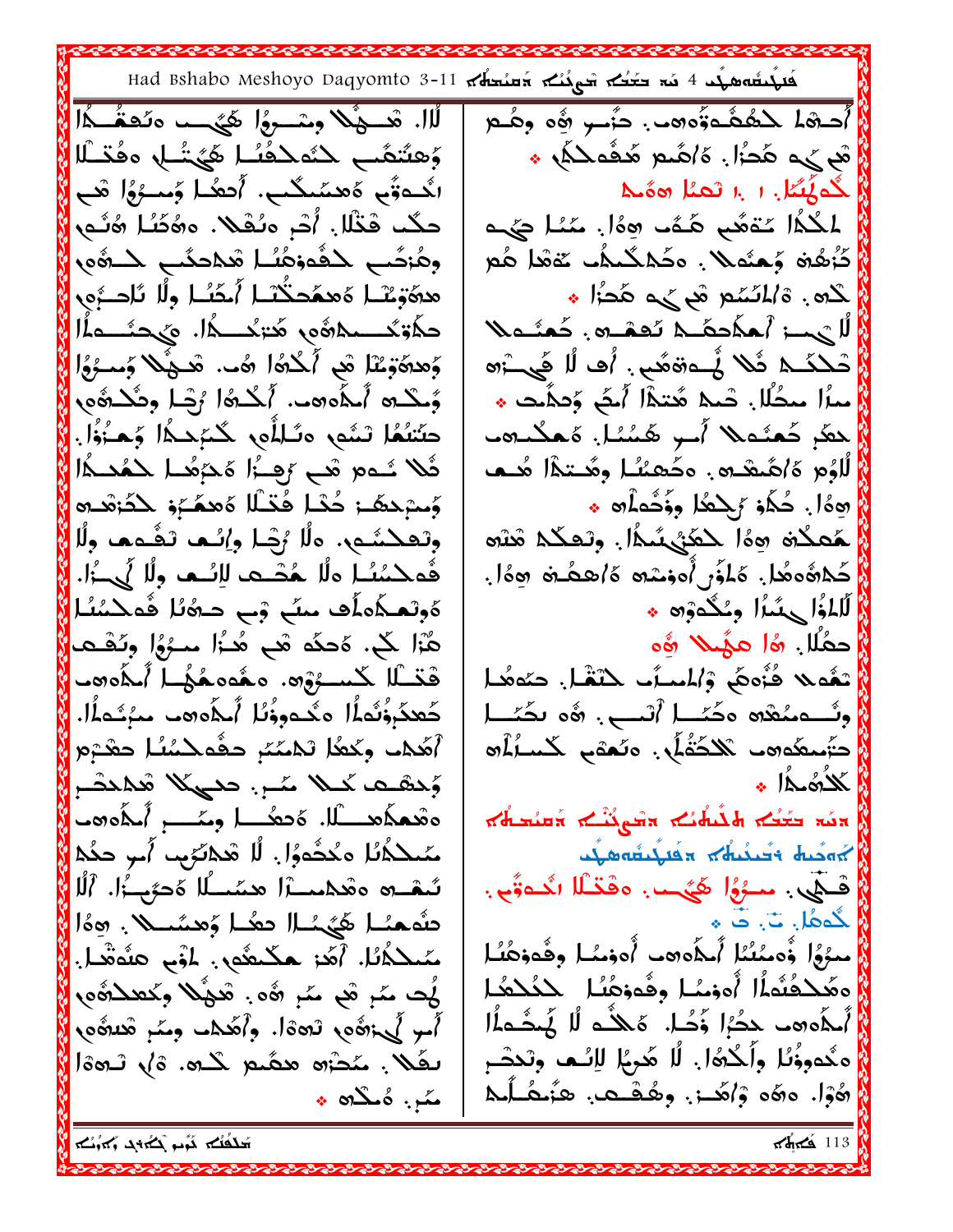Had Bshabo Meshoyo Daqyomto 3-11 x تستعلم المحمد من 4 على 4 ملى المستعمر لَّاا. تَعَــوْلًا وَسْــرَوْا هَيُـــه دَنَّـفَــدًا أُدْهَا كَمُفْدَوُّهِمْ. دَّىْبِ شَهْ وَهُمْ وَهتَنفَبِ لِحُدُدُكُم لِمُحَمِّنَا وَهَدَّلَا هَم کُم هُدَٰا. هَ/هُنم هُدْهِ د انْكُدْتُو دُهْسَكْب، أُنْهَا وُسْتُرُوا شَي گُمهُنگل (با تَعْمُل هِمَّل حكَّد فَخْلًا. أُثْرِ مِنْفَلًا. وَهُكُنُا هُنُّمَ، لمَكْمًا عُقَعَي هَـٰهُـٰ هِـهَا. مَنْـُل حَيْـِـهِ ومُزَمَّبٍ لِحَقَّوْمُنُـا مُدْحَكَبٍ لِحَــوُّهِ، كَرْهُ۞ وَحِثَمَلا . ٥كَمْلْحُلُم عَهْدَا هُم ههَوَمْنَـا هَهمَحنُّنَـا أَحَنُـا وِلًا نَاحــزَى لَاهِ . 16/مَ مَعْ كُمْ مَمْتُلُمْ . 20 حكَّةِكَـــمكَمَّةَ وَهُوَمَ مَنْ الْمَــدُّا. وَكَيْحَشَــوالْمَ اللامسنْهُ ، مِسْهَدَ صُدْهَا ، حَمِّسُهِ الْمُ وَهِدَوَيْنَا هُو أَكْدُوا رُوْتٍ. هُــوُلا وَســرُوْا صْلَحْكُــدْ شُلا يُـُــدة مَّنى . أَفَّ لَٰا فَي ــْزَرَه مبرًا مجدًّال. ضَبِّي هُتِمَّا أَيضَ وَقِدَّت \* وَكْتُ أَيْݣُوهُمْ. أَيْحُدُهُ! رُضًا وِضُحْدُوهِ، لمعَمْ كَمِنْدِيلا أَسِي هَيْئَا. ةَحَكْسُوب حنَّتْهُا تَسُّم، وتَـٰلِلُّم، كَـٰهَدِـٰهُا وَحَـٰٓزُواْ. ثَلا نُــوم شَــ رَهِــزُا هَجَمُــا لِحَمُحــدُا لْلُوُم هَ/هُـعْـم . ٥كَـعِـُنُـل وهُــتِـهْا هُــع وَستَبْحَهَا: حُكْلُ هُنْظًا هُجَمْعَ وَ حَكَرْهُدِهِ  $\bullet$  هوداً. حُكَمو مَ جِعْدًا ووَّحْدَاْهِ ﴾ هَعِكْمَ هِهَا لِحَعَنِي مُعَالٍ. وتَعِكْمُ مَعْتُم وتَعَكْشُم، وَلَا رُجْلَ وِإِنَّمَا تَغْـوِمَا وِلَا كَلادُّەمُدا. كَاذُر أُەفسْدە كاھعُلُّه ھِوَّا. فَمكسُنًا ولَّا هُصْحَب لِإِنْتِ وِلَّا يُجِبُرُا. ەُولْعـكَاهكُ منّع وْب حـەمُلَا فُـمكنىُـلـ لَّالمُوَّالِيِّسُمَا وَعُكُدُوْنَ \* هُٰٓ;ا ﴾. هُحكُم مْعٍ هُـٰ;ا مــرُوُا وِنُـفْـعـا حَمُّلًا. 16 مَهْلًا 20 قْتَىلَا كَسْبُوْهِ. مْغُمْمْهُمْ أَيْلُمُوهَتْ تَعْدِيد فُتُوهَى وْالمْسِلُفْ حْتَقْبَلْ. حَيْدِهُمْ ا كَعِدَ وُنُمَاً! مَخْدووُنَا أَحَدُّه مِن حَبُّدَءَاً!. وِنُـــومُعْدُه وَحُمّـــا أَنْـــــى. ﴿ وَ تَحْمَـــا أهُكم وكَعُل تَكْسُرِ حَقَّهَكْسُلَ حَعْدَوْ حَتَّمِيكُوهِ بَلاَحَتَٰهُمْ. وَتُعْقَمِ لَكْسَارُهُ وُدْهَــْ كَــْلَا مُــْرِ. حَبَّيْكَلَا شَدْمَشْـر كلاؤها و وقعمكهـــلا. ةدهُـــا ومُـــرِ أمكوهم محاسم المستنقر المستقار المستقام المستحق المتحمد المتعادية سَّىلاكُمُلَا هِ ُحْشُورًا. لَٰا شَكْلَتَوْبِ أَمِرٍ حَكُمْ مله مشتره بالمنت مستملا تُنفَّسُه وقُدْمِينَ الْمُمَنَّسُلَا وَجَهِيًّا. أَلَّا فَـتَّى . مَـرُوُا ۖ هُيُـمَ . هُفَتْـُاا انُنـُموَّى . لْكُمْلْ. تْ. فْ حَقَّ هَنَّا حَيَّىٰاً احْمَا وَمِسَّىلًا. ﴿ مْرُوُّا وُّەمْنُنُا ٱمْلَاەد اُەزْمُا وقُودْمُلْا سُلاكُلُا، ٱهُز هكْتُورِ. اوْبِ هَدُمْهَا. ومَكْفُفُهُ أُوفِسُا وِفُوفِصُل كَحُكْمًا يُمت مَّمْ ثَمْ مَّمْ رُهُ . شَيْلًا وَكَتْعَلْمُوْمِ أَحدُه هو حدُرُا ذُكُل هَ حَكْمَ لَا يُحدُمِلُه أُمِرٍ إِلَىٰٓ;رَهُورٍ نَرْدَةًا. وأَهَدَاتٍ وَمَنْهِ هَنْدَهُورٍ هنُدوؤُنُا وأَلكُهُا. لَا هُرِيُا لِإِنَّــه وِتَحتَــرِ ىغَلا. سَتَّة مصَّم كَـه. قُلْ تَـهة ا هُوْلُ وهُو وْأَهْدَى وِهُقْسِعَى هِنُمْلُكُمْ مگر. هُكُلُه \* تمنافهم بالمحفور وأملكم  $4.4$   $113$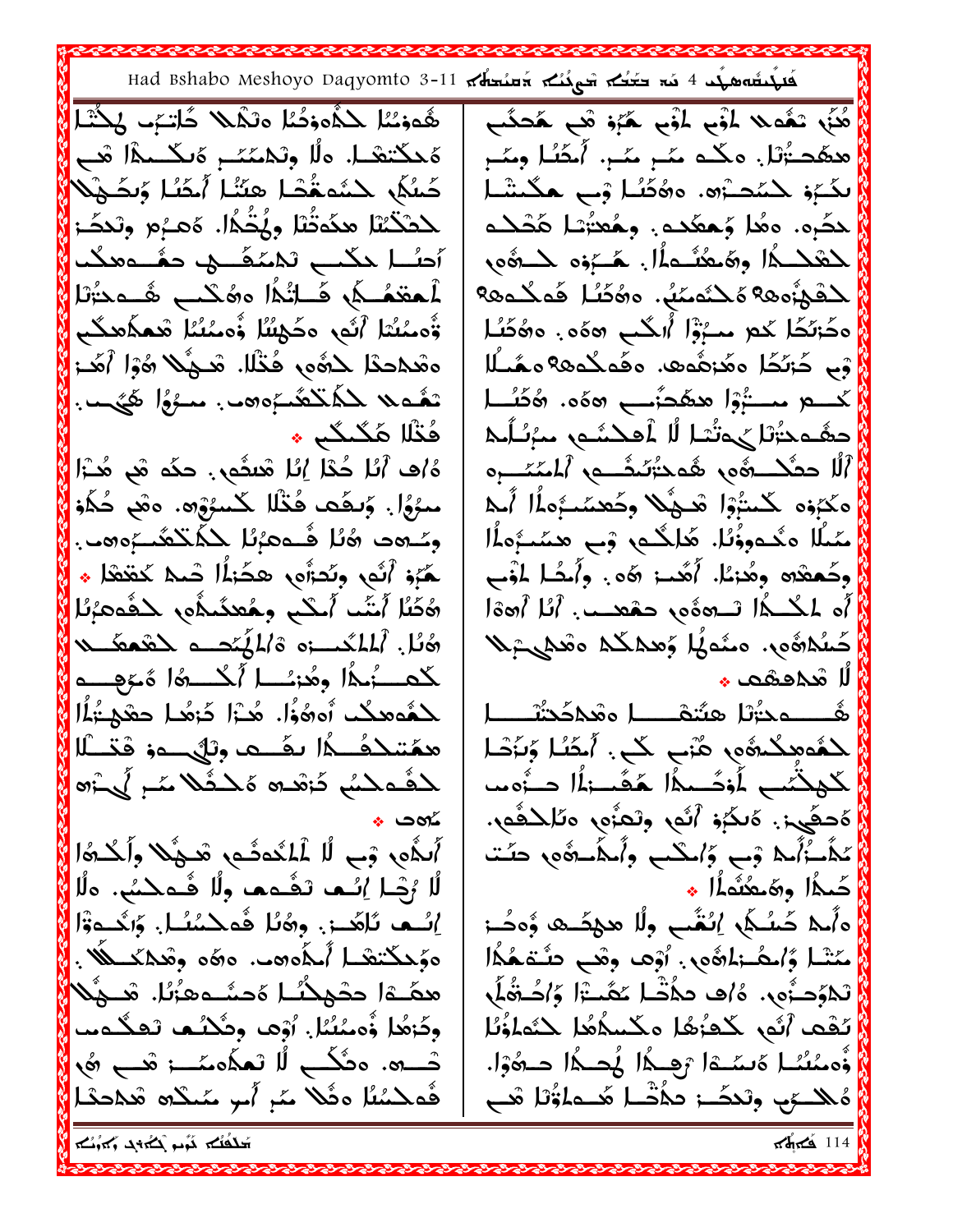Had Bshabo Meshoyo Daqyomto 3-11 x تَسْتَعْلَمُ Had Bshabo Meshoyo Daqyomto 3-11 هُنَّىٰ تَعْمَلا لمْوْمٍ لِمُؤْمٍ هُمُوْ هُمٍ هُحَدًى هُدنْنُا كِلْمُودُنُا وَلَٰكُلا كُاتِبُ لِكُتْلَ دَهَنْتَ اللَّهُ وَتَمْسَنُكُمْ وَتَكْسَمُوا قُبَ ههُدَّڙُلَّا. هڱُد مُبْرِ مُبْنِ أُمِثُنَا وِمُبْرِ كَسُكًا ۖ لِحُسْمَهُ ۖ لَمَ اللَّهُ لَمَ تَكُلَّلُ وَلَكُنَّهُ ۖ لَا تَفْخُونَ لَلَّهُ ۖ لَا تَفْخُو ىكَبُوْ حْسُحَـْرُه. 50ْكُنُـا وْبِ هَكْـشْـا لِحَثَّكُنْا مِكَمَثُنَا وِهُتُكُا. هَمـُرِم وِنَحَـٰٓـٰٓ; حَكَرِهِ. وهُل وُحْقَدَتَ وَحُمِيَّتُهُ هَٰذَكُمَ أحنُــا حكَـب تممّدَ هــ حفَــــــــه محكَ لِمَعْلَـٰهُ! وهُمعُنُـُمهُ!. هُـَزِوْهِ لِحَـٰدِهُو ِ لَحْقَوْبُوهِ؟ وَلَحْتُمَنَّهُ. وَهُكُنَّا فَمَكَّمَهِ؟ أَحقَفُكُم فَاتُدًا هُكُب هُـدَّتَهُ وَّەمْئُنَا ٱلَّى ەكَوْئُنَّا وُّەمْئُنَّا شَعْلَامْتَـُـمِّ ەكَتْكَلّْكُمْ سَيُرّْا أُلگُبْ 30%، وَ%ِكْتُلْ وْمِ كَرْنُكُلُّ مَعُرْهُمْهِ. مَفَمَكُمْهُ؟ مَغُسُلًا ومْحَاحِدًا لِحَوْمٍ وَخَلَا. مْحَهُلا هُوْا أَمَّــ: كَـــــم مــــــُّ;وَّا هَهُدَّنَـــــ هؤه. هُكَنُـــا تَمُّدَىلا لِمُتَكَشَّرُهِ مِنْ مِنْزُوُّ شَيْءٍ. مَالْخُمْ مِشْكَةَ لَا الْمَتْمِرْ لَتَتْمَكَ فَصَ فُتْلَا مَكْنُكُمْ \* هُ/َ أَنُا حُدًا إِنَّا مُعفَّى . حكَّم هُي هُــْزَا أَلَّا حثَكَـــوُّى هُـمَحْتُنَــثَـــمِ ٱلْمُنَـَـــرِه مْبُوُّلْ. وُبْقُتْ قُتْلًا كْتْبُوْهُمْ. ەقْعْ خُكُوْ هَكَرُوْهِ كُلّْتُرُوْلُ هُدَيْكًا وِكُعْسُدُومُاْلُ أَبْدَأَ وِصَّەد ھُلُّا فُــومُ ِلَّا كَمُكْكُسِمُوهـ. مَّىلًا ەڭدوۋُىًا. ھَاڭىي ۋىي ھىنىبۇەلُّا هَّزُوْ أَنُّهِ وِنُدَأُهِ، هِجَٰزَاْ ا شَيْءُ كَعَمْدًا \* وِحَمِعْدَه وِهُ;مُّا. أَهُمْ: 6ه. وأَحدُا لمْوْب هُكُمُا أَمَنُت أَسْكَنِ وِهُعَنَّمَدُونَ لَكُفُومُ وَلَمَّا أَه لمَكْمًا تَـهَوْمٍ حَقَّعَــبٍ أَمَّا أَهْمَا ضَلَاشَى. مِنْمَهُا وَهِدْمُكُمْ مِعْدِيدًا رَهُ لَا الْمُسْنَرَهِ وَالْمُكْتَحِبُ لَحْقَعِظَيْهِ كعسرُما ومُنسًا أكسمُا هُجَهِد لُا شَدْهِعْم \* هُــــــــــه دُ:ُثل هنُنهْــــــــــل ه شَه دُخنُنْـــــــــل لِحَمُوهِكُتَ أُوهُؤُلَ. هُنْزَا كَرْهُمَا حَقْدَيْتُهُاْ هِمُتَبْحَدُكُمُ الصَّــبِ وَلَيْــوْ فَخَـــُلَّا لْحُمُومِكُنُّونَ هُبْبِ كُبِ. أَنْظُلُ وَنَزْهَل لِمَشْمِلْسُمْ دُرْهُدِهِ مُلْكُلًا مَدٍ لَيْ آرُهِ لَكَهِكْتُبِ لَمُؤَسَّدُا هَقَسَۃَلُّا صَنُومِ هُحفِّي: هَيْكَ ُ أَنَّهِ وَتَعَزُّو مِنْكُمْ . مَرَكَّفَهِ.  $\cdot$   $\circ$ أَلِدُّهِ, وَبِ لَا غُلَقُدَتُمِ, شَـهُلا وأَلَــُـهُ١ تَكَلُّــزُلُّــدُ وَجَ وَٱلْـحَبِ وِٱلْكُـــوَّى حَنْـت أَهْمَاْ وِهَمْعُنُهُ أَ لًا رُضَا إنْـم تَقْـمم ولًا فَـمكنُـب. ولًا هأَلَّمْ شَسُلُمْ إِنْقُبِ وِلَا هَوْضَـٰهَ وُّهضُـٰهَ إِنَّــم تَاهَـــز. وِهُنَا هُمكْمُنُــا. وَاجْـــمَوْٓا ەۆمكتىنىلە أىمەەھە. ەۋە وقىمكىللا . مَتْلًا وُٱعْشَاءَلَاهُٯِ . ٱوْها وقْبِ عِنْـقِـعُدًّا ههَــةا حثَـهكُــا هُحسُّــههُزُنا. هَـــؤُ تَكْوَحَــزُوب. هُ/َفَ حَكْتُــل عَقَبَــٰٓزَا وَۗاحُــٰقُهُّـلُ تَفْعَد أَنُّهِ لَكْفُرُهُا مَكْسَلُاهُا لِكُمَاؤُنَّا وِدَهُدَا وُّەمئىُنَا. ٱوْهَد وِهَكْتُ لَقْصَدَمَتْ تَـــــره. دَثَكَـــ لَا تَعكُومَــَـــز تَعــــ رَهُم .أَوْمِئْتُمْ وَلَسْنَةَا رُهِــدًا لُمِصَدًّا حَــدُوْلَ فُمكْسُلُا هفُلًا مَّهِ أَسِ مَّمْكُلُّهُ هُكُلْحَدًّا هُ اللَّــرَى وَتَدَكَّــز فَدُنْـَـا هَــوارُّثَا هُــو بحثاءُ ماء المحكم ما به المحلفان  $\sqrt{4\pi^2}$  114